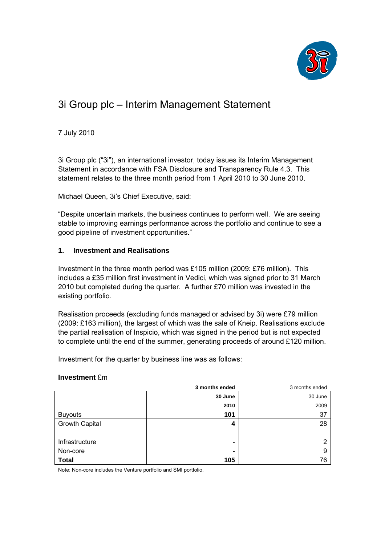

# 3i Group plc – Interim Management Statement

7 July 2010

3i Group plc ("3i"), an international investor, today issues its Interim Management Statement in accordance with FSA Disclosure and Transparency Rule 4.3. This statement relates to the three month period from 1 April 2010 to 30 June 2010.

Michael Queen, 3i's Chief Executive, said:

"Despite uncertain markets, the business continues to perform well. We are seeing stable to improving earnings performance across the portfolio and continue to see a good pipeline of investment opportunities."

# **1. Investment and Realisations**

Investment in the three month period was £105 million (2009: £76 million). This includes a £35 million first investment in Vedici, which was signed prior to 31 March 2010 but completed during the quarter. A further £70 million was invested in the existing portfolio.

Realisation proceeds (excluding funds managed or advised by 3i) were £79 million (2009: £163 million), the largest of which was the sale of Kneip. Realisations exclude the partial realisation of Inspicio, which was signed in the period but is not expected to complete until the end of the summer, generating proceeds of around £120 million.

Investment for the quarter by business line was as follows:

# **Investment** £m

|                       | 3 months ended | 3 months ended |
|-----------------------|----------------|----------------|
|                       | 30 June        | 30 June        |
|                       | 2010           | 2009           |
| <b>Buyouts</b>        | 101            | 37             |
| <b>Growth Capital</b> | 4              | 28             |
|                       |                |                |
| Infrastructure        | $\blacksquare$ | 2              |
| Non-core              | $\blacksquare$ | 9              |
| <b>Total</b>          | 105            | 76             |

Note: Non-core includes the Venture portfolio and SMI portfolio.